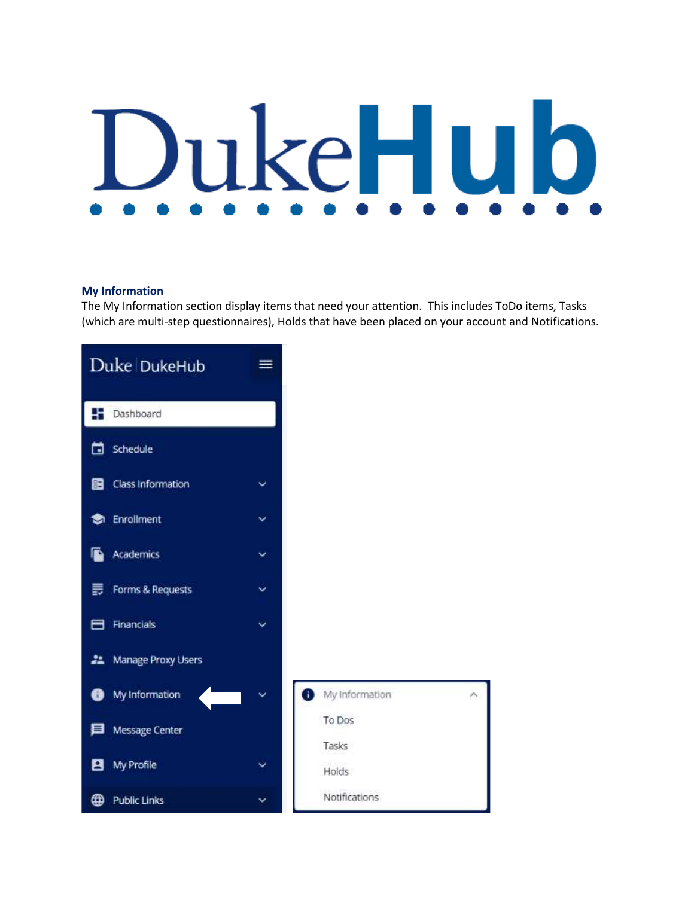# DukeHu b

### **My Information**

The My Information section display items that need your attention. This includes ToDo items, Tasks (which are multi-step questionnaires), Holds that have been placed on your account and Notifications.

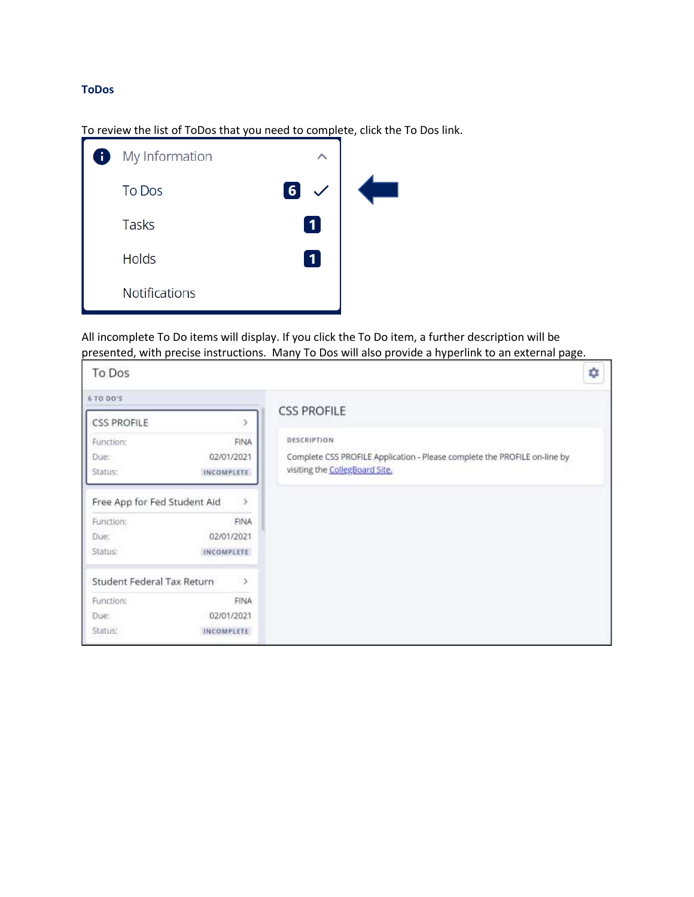## **ToDos**

To review the list of ToDos that you need to complete, click the To Dos link.

| My Information<br>Ŧ  | ᄉ           |  |
|----------------------|-------------|--|
| <b>To Dos</b>        | $\boxed{6}$ |  |
| <b>Tasks</b>         | 1           |  |
| <b>Holds</b>         |             |  |
| <b>Notifications</b> |             |  |

All incomplete To Do items will display. If you click the To Do item, a further description will be presented, with precise instructions. Many To Dos will also provide a hyperlink to an external page.

| To Dos                       |                   |                                                                           | ٠ |
|------------------------------|-------------------|---------------------------------------------------------------------------|---|
| 6 TO DO'S                    |                   |                                                                           |   |
| <b>CSS PROFILE</b>           |                   | <b>CSS PROFILE</b>                                                        |   |
| Function:                    | <b>FINA</b>       | DESCRIPTION                                                               |   |
| Due:                         | 02/01/2021        | Complete CSS PROFILE Application - Please complete the PROFILE on-line by |   |
| Status:                      | <b>INCOMPLETE</b> | visiting the CollegBoard Site.                                            |   |
| Free App for Fed Student Aid | $\rightarrow$     |                                                                           |   |
| Function:                    | FINA              |                                                                           |   |
| Due:                         | 02/01/2021        |                                                                           |   |
| Status:                      | INCOMPLETE        |                                                                           |   |
| Student Federal Tax Return   | $\rightarrow$     |                                                                           |   |
| Function:                    | <b>FINA</b>       |                                                                           |   |
| Due:                         | 02/01/2021        |                                                                           |   |
| Status:                      | INCOMPLETE        |                                                                           |   |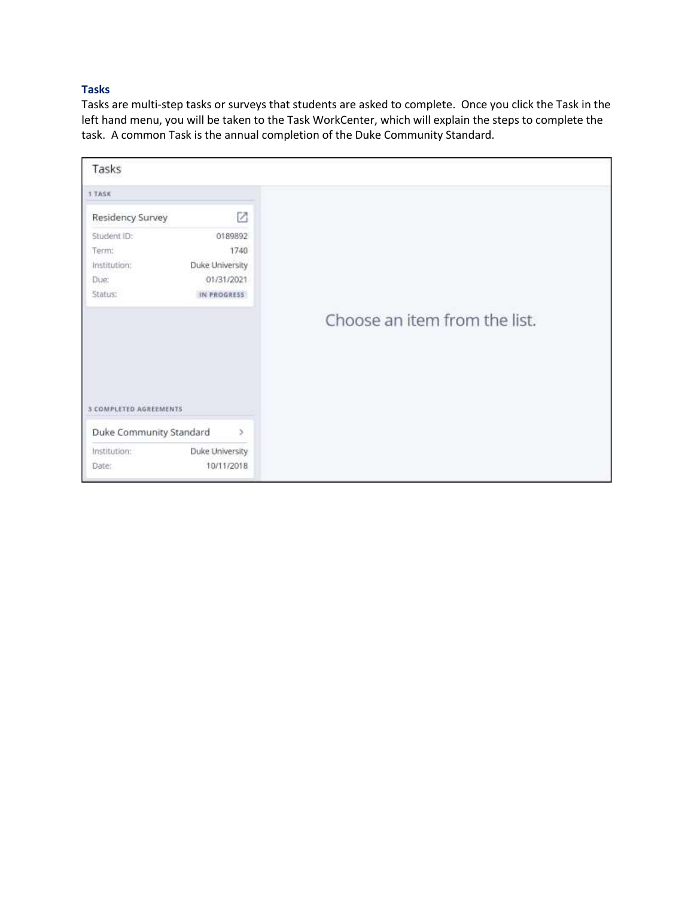## **Tasks**

Tasks are multi-step tasks or surveys that students are asked to complete. Once you click the Task in the left hand menu, you will be taken to the Task WorkCenter, which will explain the steps to complete the task. A common Task is the annual completion of the Duke Community Standard.

| Tasks                       |                 |                               |
|-----------------------------|-----------------|-------------------------------|
| 1.TASK                      |                 |                               |
| Residency Survey            | Ø               |                               |
| Student ID:                 | 0189892         |                               |
| Term:                       | 1740            |                               |
| Institution:                | Duke University |                               |
| Due:                        | 01/31/2021      |                               |
| Status:                     | IN PROGRESS     |                               |
| <b>COMPLETED AGREEMENTS</b> |                 | Choose an item from the list. |
| Duke Community Standard     | $\mathbf{y}$    |                               |
| Institution:                | Duke University |                               |
| Date:                       | 10/11/2018      |                               |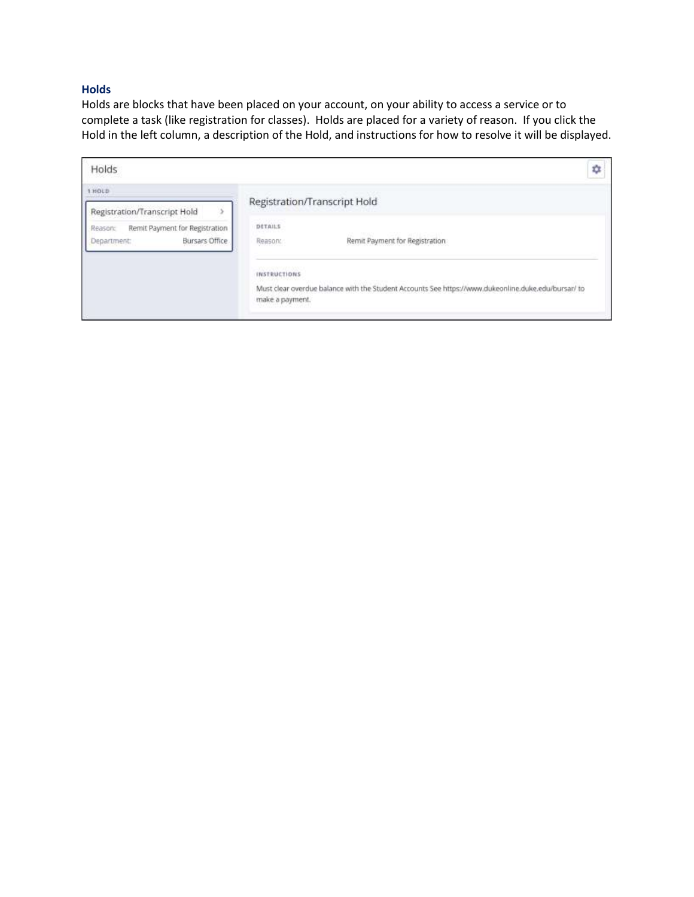### **Holds**

Holds are blocks that have been placed on your account, on your ability to access a service or to complete a task (like registration for classes). Holds are placed for a variety of reason. If you click the Hold in the left column, a description of the Hold, and instructions for how to resolve it will be displayed.

| Holds                                                                                                      | ΰ                                                                                                                                             |
|------------------------------------------------------------------------------------------------------------|-----------------------------------------------------------------------------------------------------------------------------------------------|
|                                                                                                            | Registration/Transcript Hold                                                                                                                  |
| Registration/Transcript Hold<br>Remit Payment for Registration<br>Reason:<br>Bursars Office<br>Department: | <b>DETAILS</b><br>Remit Payment for Registration<br>Reason:                                                                                   |
|                                                                                                            | <b>INSTRUCTIONS</b><br>Must clear overdue balance with the Student Accounts See https://www.dukeonline.duke.edu/bursar/ to<br>make a payment. |